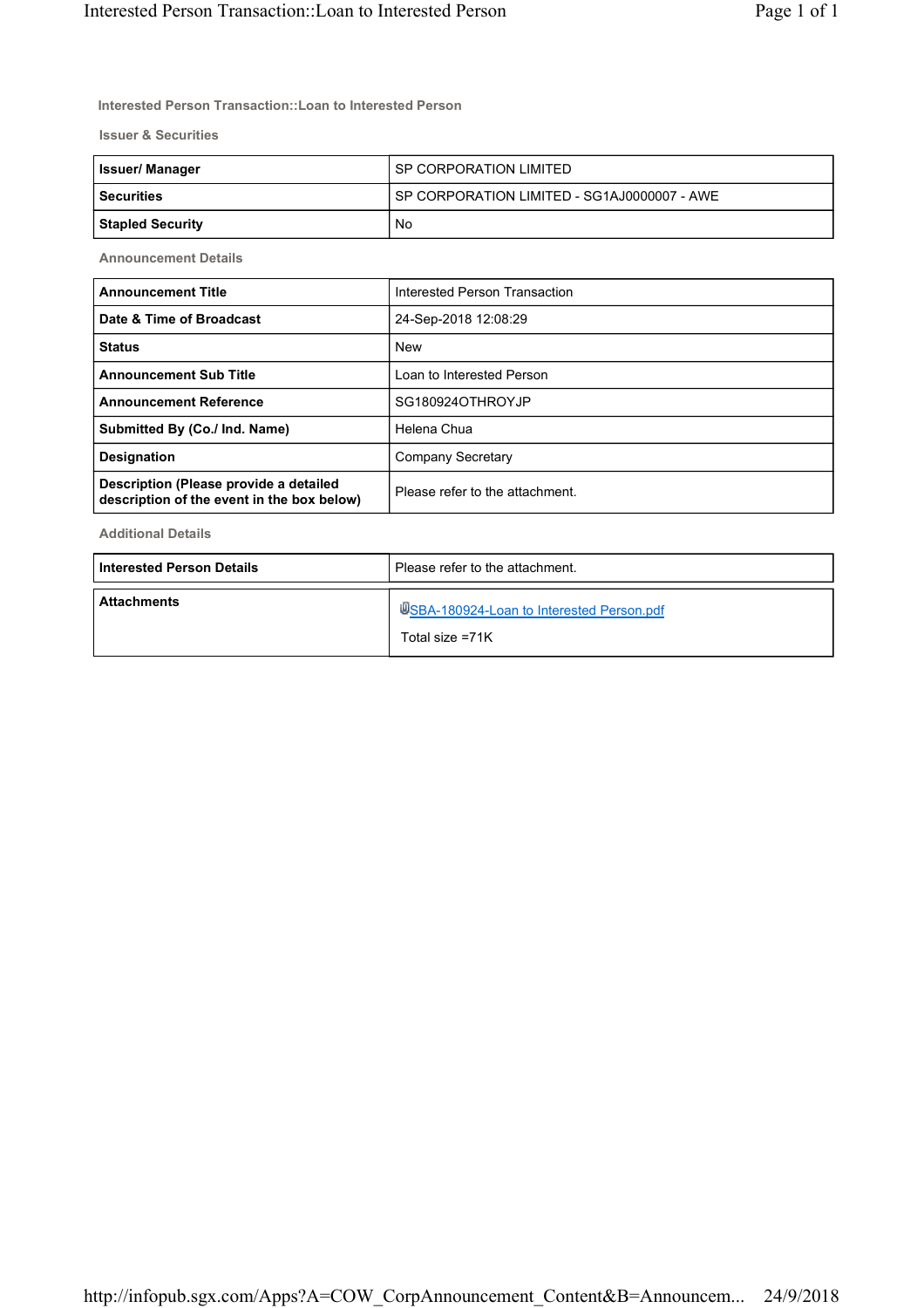Interested Person Transaction::Loan to Interested Person

Issuer & Securities

| <b>Issuer/Manager</b> | l SP CORPORATION LIMITED                      |
|-----------------------|-----------------------------------------------|
| l Securities          | I SP CORPORATION LIMITED - SG1AJ0000007 - AWE |
| Stapled Security      | No                                            |

Announcement Details

| <b>Announcement Title</b>                                                            | Interested Person Transaction   |  |
|--------------------------------------------------------------------------------------|---------------------------------|--|
| Date & Time of Broadcast                                                             | 24-Sep-2018 12:08:29            |  |
| <b>Status</b>                                                                        | <b>New</b>                      |  |
| <b>Announcement Sub Title</b>                                                        | Loan to Interested Person       |  |
| <b>Announcement Reference</b>                                                        | SG180924OTHROYJP                |  |
| Submitted By (Co./ Ind. Name)                                                        | Helena Chua                     |  |
| <b>Designation</b>                                                                   | Company Secretary               |  |
| Description (Please provide a detailed<br>description of the event in the box below) | Please refer to the attachment. |  |

Additional Details

| <b>Interested Person Details</b> | Please refer to the attachment.                              |  |
|----------------------------------|--------------------------------------------------------------|--|
| <b>Attachments</b>               | USBA-180924-Loan to Interested Person.pdf<br>Total size =71K |  |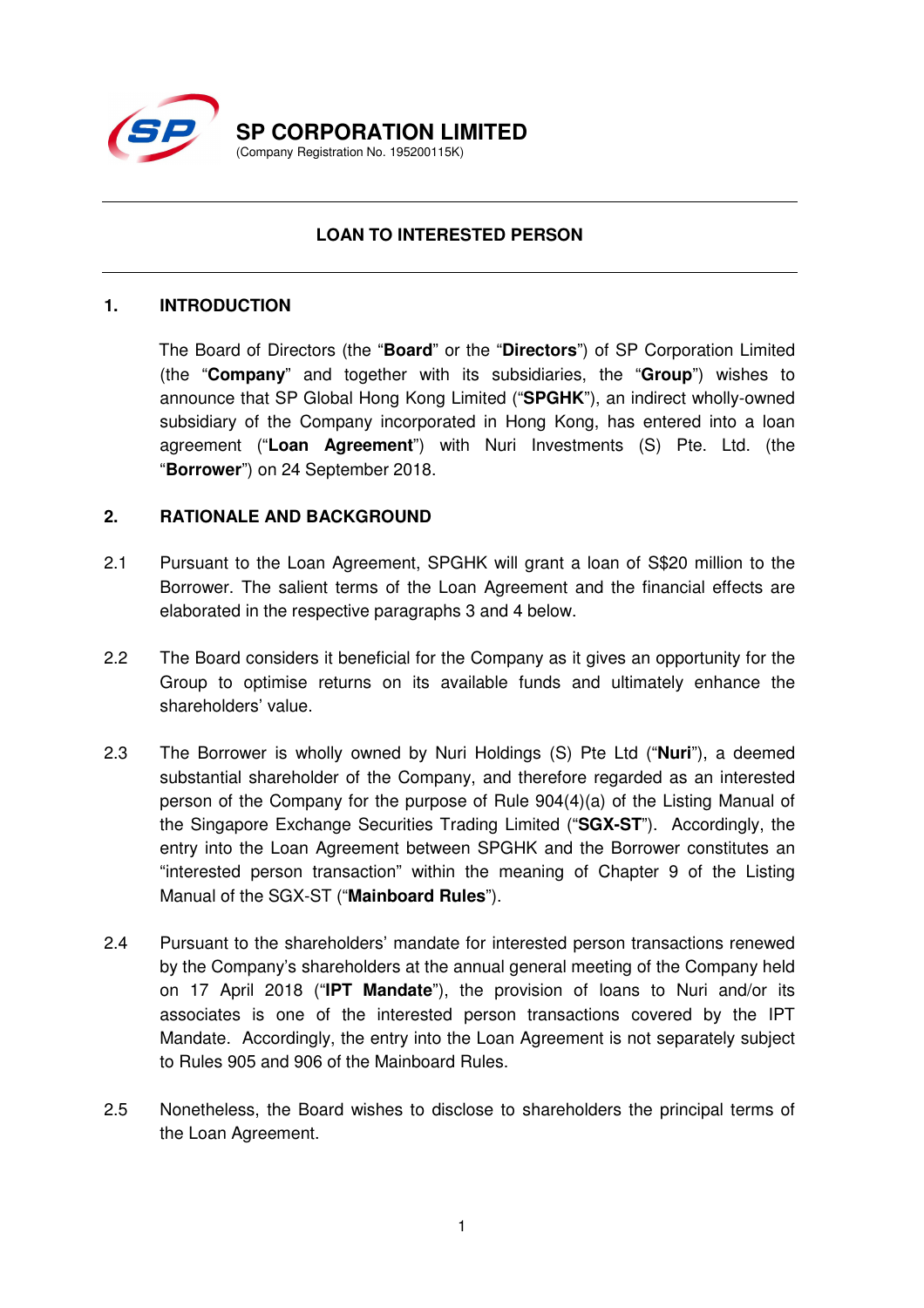

# **LOAN TO INTERESTED PERSON**

### **1. INTRODUCTION**

The Board of Directors (the "**Board**" or the "**Directors**") of SP Corporation Limited (the "**Company**" and together with its subsidiaries, the "**Group**") wishes to announce that SP Global Hong Kong Limited ("**SPGHK**"), an indirect wholly-owned subsidiary of the Company incorporated in Hong Kong, has entered into a loan agreement ("**Loan Agreement**") with Nuri Investments (S) Pte. Ltd. (the "**Borrower**") on 24 September 2018.

## **2. RATIONALE AND BACKGROUND**

- 2.1 Pursuant to the Loan Agreement, SPGHK will grant a loan of S\$20 million to the Borrower. The salient terms of the Loan Agreement and the financial effects are elaborated in the respective paragraphs 3 and 4 below.
- 2.2 The Board considers it beneficial for the Company as it gives an opportunity for the Group to optimise returns on its available funds and ultimately enhance the shareholders' value.
- 2.3 The Borrower is wholly owned by Nuri Holdings (S) Pte Ltd ("**Nuri**"), a deemed substantial shareholder of the Company, and therefore regarded as an interested person of the Company for the purpose of Rule 904(4)(a) of the Listing Manual of the Singapore Exchange Securities Trading Limited ("**SGX-ST**"). Accordingly, the entry into the Loan Agreement between SPGHK and the Borrower constitutes an "interested person transaction" within the meaning of Chapter 9 of the Listing Manual of the SGX-ST ("**Mainboard Rules**").
- 2.4 Pursuant to the shareholders' mandate for interested person transactions renewed by the Company's shareholders at the annual general meeting of the Company held on 17 April 2018 ("**IPT Mandate**"), the provision of loans to Nuri and/or its associates is one of the interested person transactions covered by the IPT Mandate. Accordingly, the entry into the Loan Agreement is not separately subject to Rules 905 and 906 of the Mainboard Rules.
- 2.5 Nonetheless, the Board wishes to disclose to shareholders the principal terms of the Loan Agreement.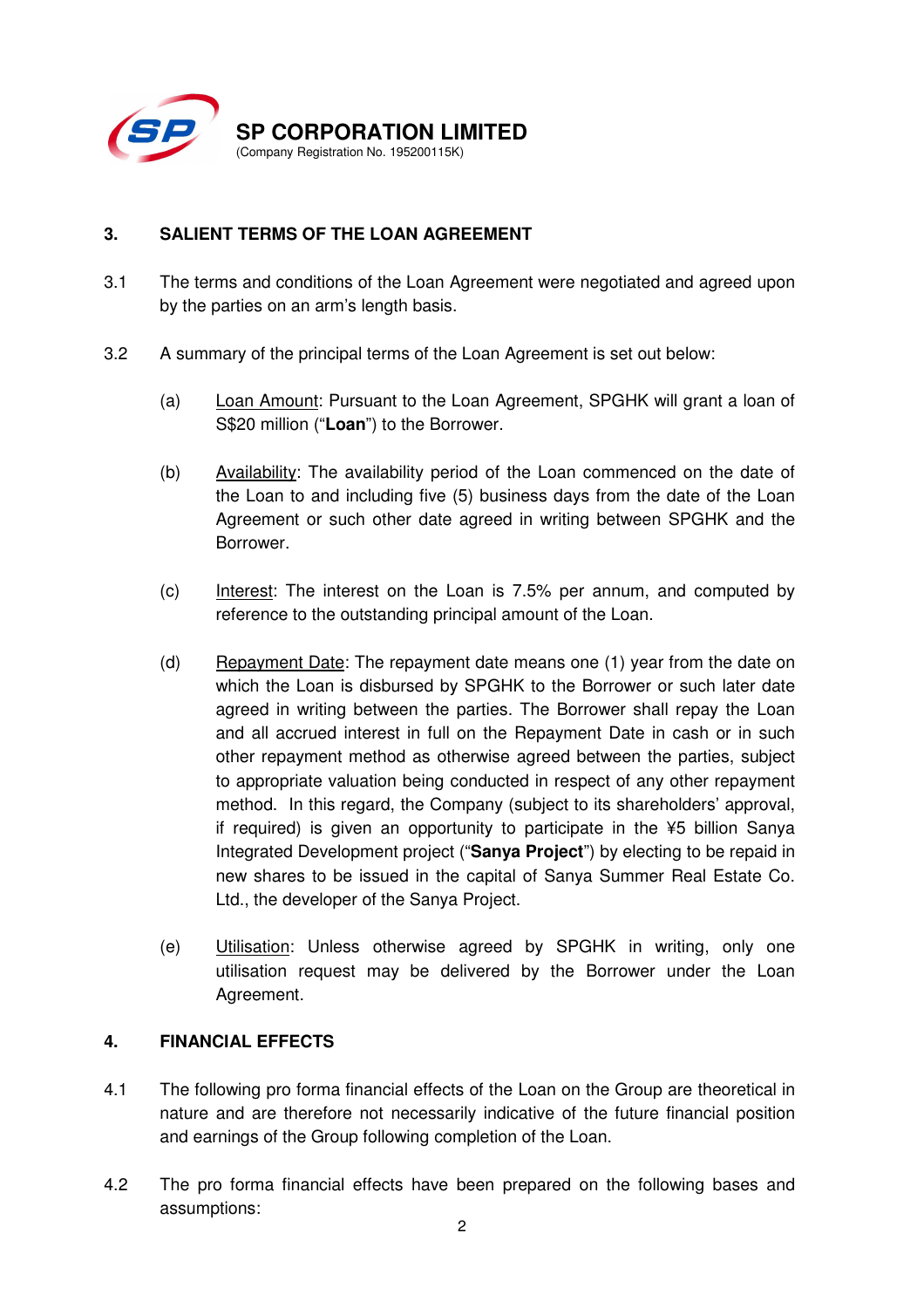

# **3. SALIENT TERMS OF THE LOAN AGREEMENT**

- 3.1 The terms and conditions of the Loan Agreement were negotiated and agreed upon by the parties on an arm's length basis.
- 3.2 A summary of the principal terms of the Loan Agreement is set out below:
	- (a) Loan Amount: Pursuant to the Loan Agreement, SPGHK will grant a loan of S\$20 million ("**Loan**") to the Borrower.
	- (b) Availability: The availability period of the Loan commenced on the date of the Loan to and including five (5) business days from the date of the Loan Agreement or such other date agreed in writing between SPGHK and the Borrower.
	- (c) Interest: The interest on the Loan is 7.5% per annum, and computed by reference to the outstanding principal amount of the Loan.
	- (d) Repayment Date: The repayment date means one  $(1)$  year from the date on which the Loan is disbursed by SPGHK to the Borrower or such later date agreed in writing between the parties. The Borrower shall repay the Loan and all accrued interest in full on the Repayment Date in cash or in such other repayment method as otherwise agreed between the parties, subject to appropriate valuation being conducted in respect of any other repayment method. In this regard, the Company (subject to its shareholders' approval, if required) is given an opportunity to participate in the ¥5 billion Sanya Integrated Development project ("**Sanya Project**") by electing to be repaid in new shares to be issued in the capital of Sanya Summer Real Estate Co. Ltd., the developer of the Sanya Project.
	- (e) Utilisation: Unless otherwise agreed by SPGHK in writing, only one utilisation request may be delivered by the Borrower under the Loan Agreement.

## **4. FINANCIAL EFFECTS**

- 4.1 The following pro forma financial effects of the Loan on the Group are theoretical in nature and are therefore not necessarily indicative of the future financial position and earnings of the Group following completion of the Loan.
- 4.2 The pro forma financial effects have been prepared on the following bases and assumptions: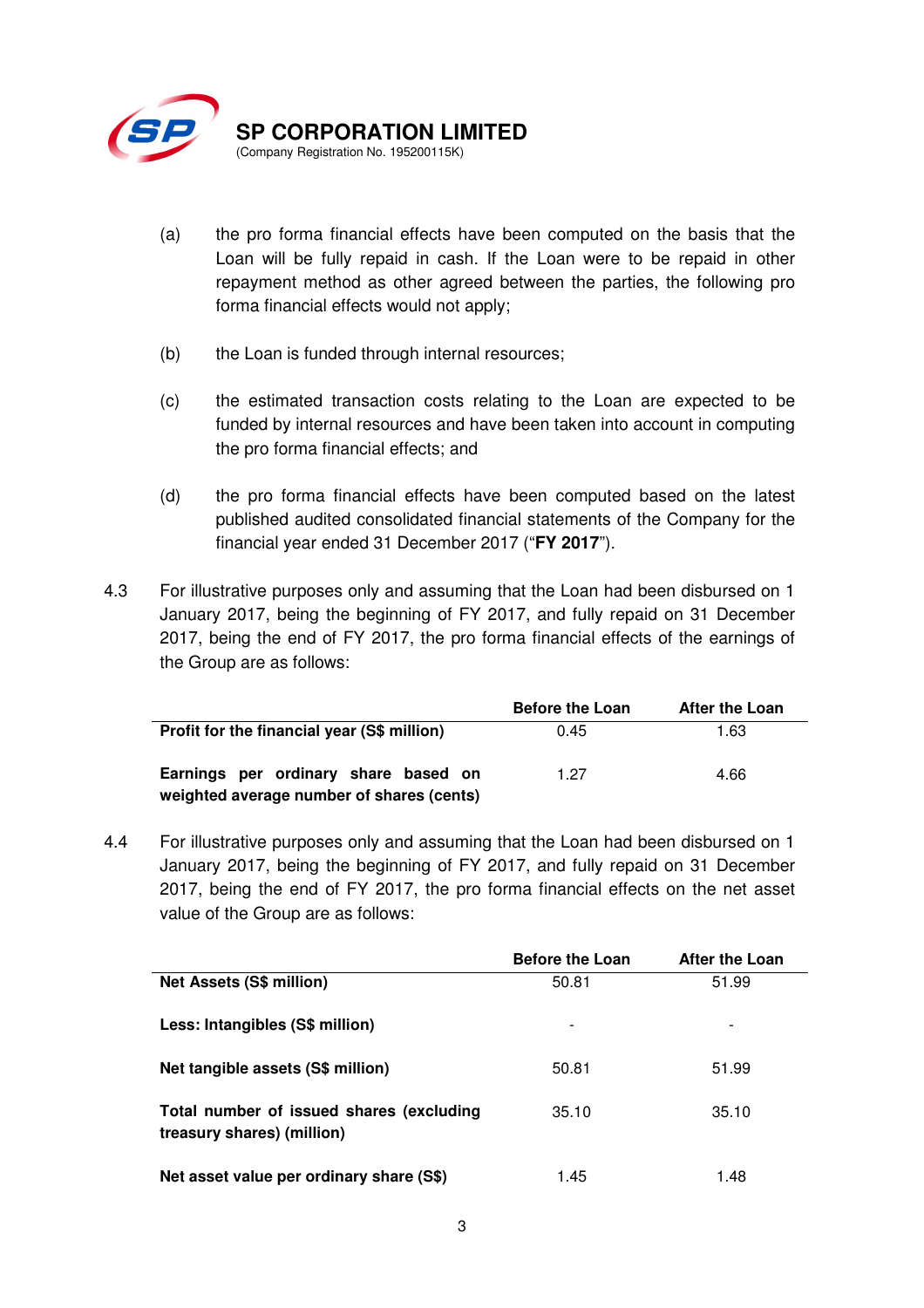

- (a) the pro forma financial effects have been computed on the basis that the Loan will be fully repaid in cash. If the Loan were to be repaid in other repayment method as other agreed between the parties, the following pro forma financial effects would not apply;
- (b) the Loan is funded through internal resources;
- (c) the estimated transaction costs relating to the Loan are expected to be funded by internal resources and have been taken into account in computing the pro forma financial effects; and
- (d) the pro forma financial effects have been computed based on the latest published audited consolidated financial statements of the Company for the financial year ended 31 December 2017 ("**FY 2017**").
- 4.3 For illustrative purposes only and assuming that the Loan had been disbursed on 1 January 2017, being the beginning of FY 2017, and fully repaid on 31 December 2017, being the end of FY 2017, the pro forma financial effects of the earnings of the Group are as follows:

|                                                                                   | <b>Before the Loan</b> | <b>After the Loan</b> |
|-----------------------------------------------------------------------------------|------------------------|-----------------------|
| Profit for the financial year (S\$ million)                                       | 0.45                   | 1.63                  |
| Earnings per ordinary share based on<br>weighted average number of shares (cents) | 1.27                   | 4.66                  |

4.4 For illustrative purposes only and assuming that the Loan had been disbursed on 1 January 2017, being the beginning of FY 2017, and fully repaid on 31 December 2017, being the end of FY 2017, the pro forma financial effects on the net asset value of the Group are as follows:

|                                                                        | <b>Before the Loan</b> | <b>After the Loan</b>    |
|------------------------------------------------------------------------|------------------------|--------------------------|
| <b>Net Assets (S\$ million)</b>                                        | 50.81                  | 51.99                    |
| Less: Intangibles (S\$ million)                                        |                        | $\overline{\phantom{a}}$ |
| Net tangible assets (S\$ million)                                      | 50.81                  | 51.99                    |
| Total number of issued shares (excluding<br>treasury shares) (million) | 35.10                  | 35.10                    |
| Net asset value per ordinary share (S\$)                               | 1.45                   | 1.48                     |